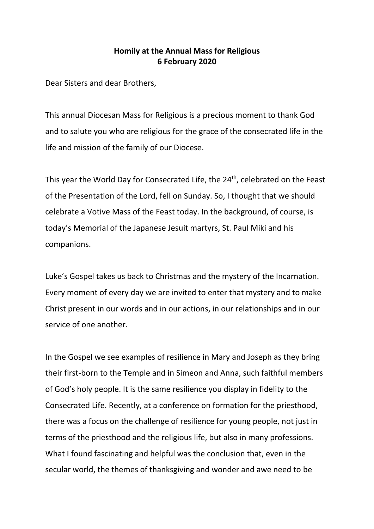## **Homily at the Annual Mass for Religious 6 February 2020**

Dear Sisters and dear Brothers,

This annual Diocesan Mass for Religious is a precious moment to thank God and to salute you who are religious for the grace of the consecrated life in the life and mission of the family of our Diocese.

This year the World Day for Consecrated Life, the 24<sup>th</sup>, celebrated on the Feast of the Presentation of the Lord, fell on Sunday. So, I thought that we should celebrate a Votive Mass of the Feast today. In the background, of course, is today's Memorial of the Japanese Jesuit martyrs, St. Paul Miki and his companions.

Luke's Gospel takes us back to Christmas and the mystery of the Incarnation. Every moment of every day we are invited to enter that mystery and to make Christ present in our words and in our actions, in our relationships and in our service of one another.

In the Gospel we see examples of resilience in Mary and Joseph as they bring their first-born to the Temple and in Simeon and Anna, such faithful members of God's holy people. It is the same resilience you display in fidelity to the Consecrated Life. Recently, at a conference on formation for the priesthood, there was a focus on the challenge of resilience for young people, not just in terms of the priesthood and the religious life, but also in many professions. What I found fascinating and helpful was the conclusion that, even in the secular world, the themes of thanksgiving and wonder and awe need to be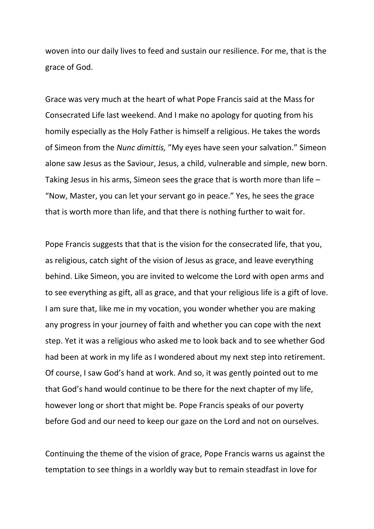woven into our daily lives to feed and sustain our resilience. For me, that is the grace of God.

Grace was very much at the heart of what Pope Francis said at the Mass for Consecrated Life last weekend. And I make no apology for quoting from his homily especially as the Holy Father is himself a religious. He takes the words of Simeon from the *Nunc dimittis,* "My eyes have seen your salvation." Simeon alone saw Jesus as the Saviour, Jesus, a child, vulnerable and simple, new born. Taking Jesus in his arms, Simeon sees the grace that is worth more than life – "Now, Master, you can let your servant go in peace." Yes, he sees the grace that is worth more than life, and that there is nothing further to wait for.

Pope Francis suggests that that is the vision for the consecrated life, that you, as religious, catch sight of the vision of Jesus as grace, and leave everything behind. Like Simeon, you are invited to welcome the Lord with open arms and to see everything as gift, all as grace, and that your religious life is a gift of love. I am sure that, like me in my vocation, you wonder whether you are making any progress in your journey of faith and whether you can cope with the next step. Yet it was a religious who asked me to look back and to see whether God had been at work in my life as I wondered about my next step into retirement. Of course, I saw God's hand at work. And so, it was gently pointed out to me that God's hand would continue to be there for the next chapter of my life, however long or short that might be. Pope Francis speaks of our poverty before God and our need to keep our gaze on the Lord and not on ourselves.

Continuing the theme of the vision of grace, Pope Francis warns us against the temptation to see things in a worldly way but to remain steadfast in love for